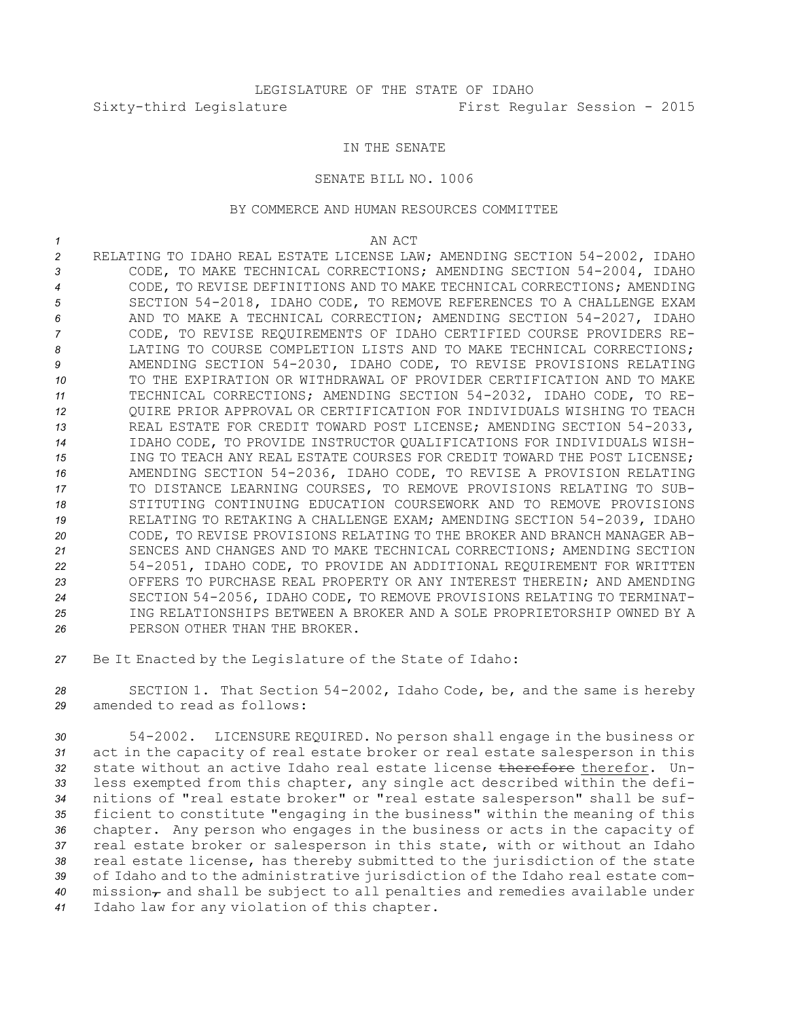## IN THE SENATE

## SENATE BILL NO. 1006

## BY COMMERCE AND HUMAN RESOURCES COMMITTEE

*1* AN ACT

- *<sup>2</sup>* RELATING TO IDAHO REAL ESTATE LICENSE LAW; AMENDING SECTION 54-2002, IDAHO *<sup>3</sup>* CODE, TO MAKE TECHNICAL CORRECTIONS; AMENDING SECTION 54-2004, IDAHO *4* CODE, TO REVISE DEFINITIONS AND TO MAKE TECHNICAL CORRECTIONS; AMENDING *<sup>5</sup>* SECTION 54-2018, IDAHO CODE, TO REMOVE REFERENCES TO A CHALLENGE EXAM *<sup>6</sup>* AND TO MAKE A TECHNICAL CORRECTION; AMENDING SECTION 54-2027, IDAHO *7* CODE, TO REVISE REQUIREMENTS OF IDAHO CERTIFIED COURSE PROVIDERS RE-8 LATING TO COURSE COMPLETION LISTS AND TO MAKE TECHNICAL CORRECTIONS; *<sup>9</sup>* AMENDING SECTION 54-2030, IDAHO CODE, TO REVISE PROVISIONS RELATING *10* TO THE EXPIRATION OR WITHDRAWAL OF PROVIDER CERTIFICATION AND TO MAKE *<sup>11</sup>* TECHNICAL CORRECTIONS; AMENDING SECTION 54-2032, IDAHO CODE, TO RE-*12* QUIRE PRIOR APPROVAL OR CERTIFICATION FOR INDIVIDUALS WISHING TO TEACH *<sup>13</sup>* REAL ESTATE FOR CREDIT TOWARD POST LICENSE; AMENDING SECTION 54-2033, *14* IDAHO CODE, TO PROVIDE INSTRUCTOR QUALIFICATIONS FOR INDIVIDUALS WISH-*15* ING TO TEACH ANY REAL ESTATE COURSES FOR CREDIT TOWARD THE POST LICENSE; *<sup>16</sup>* AMENDING SECTION 54-2036, IDAHO CODE, TO REVISE A PROVISION RELATING *17* TO DISTANCE LEARNING COURSES, TO REMOVE PROVISIONS RELATING TO SUB-*18* STITUTING CONTINUING EDUCATION COURSEWORK AND TO REMOVE PROVISIONS *<sup>19</sup>* RELATING TO RETAKING A CHALLENGE EXAM; AMENDING SECTION 54-2039, IDAHO *20* CODE, TO REVISE PROVISIONS RELATING TO THE BROKER AND BRANCH MANAGER AB-*21* SENCES AND CHANGES AND TO MAKE TECHNICAL CORRECTIONS; AMENDING SECTION *<sup>22</sup>* 54-2051, IDAHO CODE, TO PROVIDE AN ADDITIONAL REQUIREMENT FOR WRITTEN *23* OFFERS TO PURCHASE REAL PROPERTY OR ANY INTEREST THEREIN; AND AMENDING *<sup>24</sup>* SECTION 54-2056, IDAHO CODE, TO REMOVE PROVISIONS RELATING TO TERMINAT-*25* ING RELATIONSHIPS BETWEEN A BROKER AND A SOLE PROPRIETORSHIP OWNED BY A *26* PERSON OTHER THAN THE BROKER.
- *<sup>27</sup>* Be It Enacted by the Legislature of the State of Idaho:

*<sup>28</sup>* SECTION 1. That Section 54-2002, Idaho Code, be, and the same is hereby *29* amended to read as follows:

 54-2002. LICENSURE REQUIRED. No person shall engage in the business or act in the capacity of real estate broker or real estate salesperson in this state without an active Idaho real estate license therefore therefor. Un- less exempted from this chapter, any single act described within the defi- nitions of "real estate broker" or "real estate salesperson" shall be suf- ficient to constitute "engaging in the business" within the meaning of this chapter. Any person who engages in the business or acts in the capacity of real estate broker or salesperson in this state, with or without an Idaho real estate license, has thereby submitted to the jurisdiction of the state of Idaho and to the administrative jurisdiction of the Idaho real estate com-40 mission<sub> $\tau$ </sub> and shall be subject to all penalties and remedies available under Idaho law for any violation of this chapter.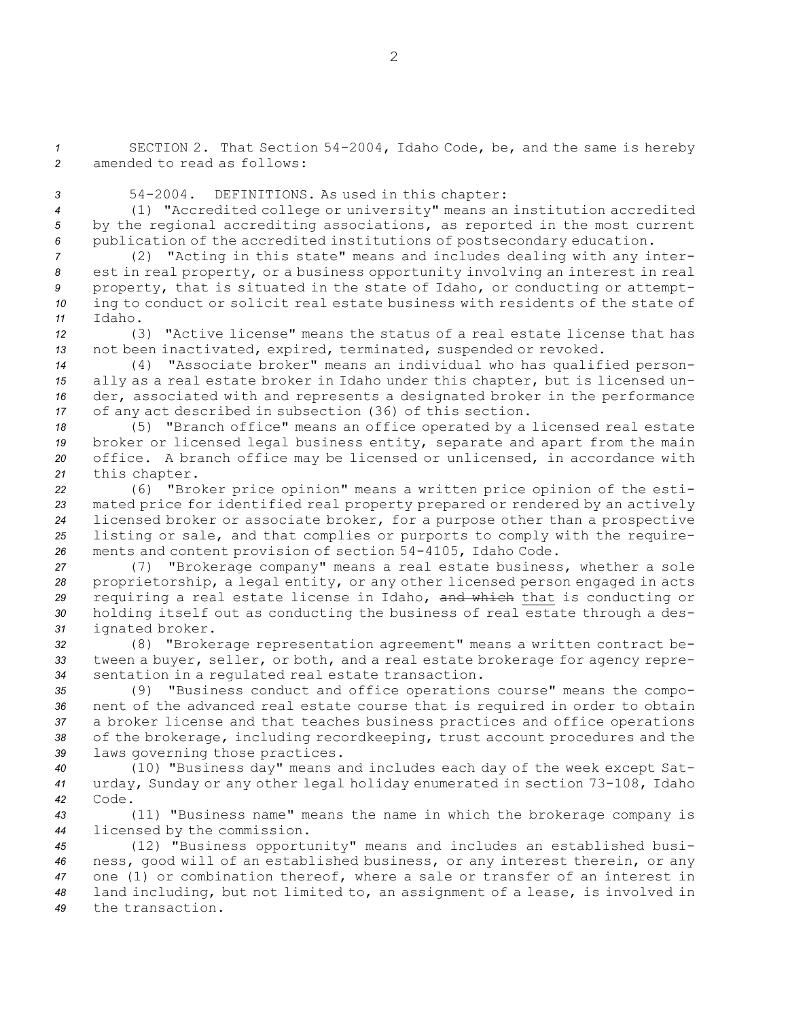*<sup>1</sup>* SECTION 2. That Section 54-2004, Idaho Code, be, and the same is hereby *2* amended to read as follows:

*<sup>3</sup>* 54-2004. DEFINITIONS. As used in this chapter:

*<sup>4</sup>* (1) "Accredited college or university" means an institution accredited *<sup>5</sup>* by the regional accrediting associations, as reported in the most current *<sup>6</sup>* publication of the accredited institutions of postsecondary education.

 (2) "Acting in this state" means and includes dealing with any inter- est in real property, or <sup>a</sup> business opportunity involving an interest in real property, that is situated in the state of Idaho, or conducting or attempt- ing to conduct or solicit real estate business with residents of the state of *11* Idaho.

*<sup>12</sup>* (3) "Active license" means the status of <sup>a</sup> real estate license that has *<sup>13</sup>* not been inactivated, expired, terminated, suspended or revoked.

 (4) "Associate broker" means an individual who has qualified person- ally as <sup>a</sup> real estate broker in Idaho under this chapter, but is licensed un- der, associated with and represents <sup>a</sup> designated broker in the performance of any act described in subsection (36) of this section.

 (5) "Branch office" means an office operated by <sup>a</sup> licensed real estate broker or licensed legal business entity, separate and apart from the main office. <sup>A</sup> branch office may be licensed or unlicensed, in accordance with this chapter.

 (6) "Broker price opinion" means <sup>a</sup> written price opinion of the esti- mated price for identified real property prepared or rendered by an actively licensed broker or associate broker, for <sup>a</sup> purpose other than <sup>a</sup> prospective listing or sale, and that complies or purports to comply with the require-ments and content provision of section 54-4105, Idaho Code.

 (7) "Brokerage company" means <sup>a</sup> real estate business, whether <sup>a</sup> sole proprietorship, <sup>a</sup> legal entity, or any other licensed person engaged in acts requiring <sup>a</sup> real estate license in Idaho, and which that is conducting or holding itself out as conducting the business of real estate through <sup>a</sup> des-ignated broker.

*<sup>32</sup>* (8) "Brokerage representation agreement" means <sup>a</sup> written contract be-*<sup>33</sup>* tween <sup>a</sup> buyer, seller, or both, and <sup>a</sup> real estate brokerage for agency repre-*<sup>34</sup>* sentation in <sup>a</sup> regulated real estate transaction.

 (9) "Business conduct and office operations course" means the compo- nent of the advanced real estate course that is required in order to obtain <sup>a</sup> broker license and that teaches business practices and office operations of the brokerage, including recordkeeping, trust account procedures and the laws governing those practices.

*<sup>40</sup>* (10) "Business day" means and includes each day of the week except Sat-*<sup>41</sup>* urday, Sunday or any other legal holiday enumerated in section 73-108, Idaho *42* Code.

*<sup>43</sup>* (11) "Business name" means the name in which the brokerage company is *<sup>44</sup>* licensed by the commission.

 (12) "Business opportunity" means and includes an established busi- ness, good will of an established business, or any interest therein, or any one (1) or combination thereof, where <sup>a</sup> sale or transfer of an interest in land including, but not limited to, an assignment of <sup>a</sup> lease, is involved in the transaction.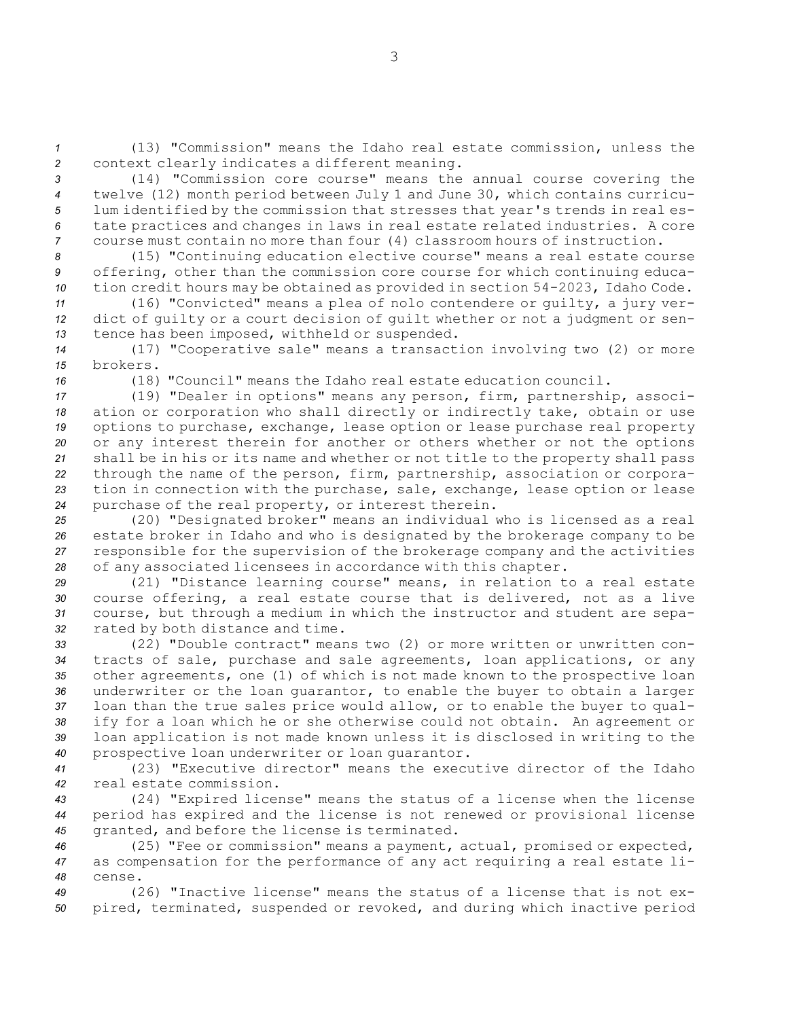*<sup>1</sup>* (13) "Commission" means the Idaho real estate commission, unless the *<sup>2</sup>* context clearly indicates <sup>a</sup> different meaning.

 (14) "Commission core course" means the annual course covering the twelve (12) month period between July 1 and June 30, which contains curricu- lum identified by the commission that stresses that year's trends in real es- tate practices and changes in laws in real estate related industries. <sup>A</sup> core course must contain no more than four (4) classroom hours of instruction.

*<sup>8</sup>* (15) "Continuing education elective course" means <sup>a</sup> real estate course *<sup>9</sup>* offering, other than the commission core course for which continuing educa-*<sup>10</sup>* tion credit hours may be obtained as provided in section 54-2023, Idaho Code.

*<sup>11</sup>* (16) "Convicted" means <sup>a</sup> plea of nolo contendere or guilty, <sup>a</sup> jury ver-*<sup>12</sup>* dict of guilty or <sup>a</sup> court decision of guilt whether or not <sup>a</sup> judgment or sen-*<sup>13</sup>* tence has been imposed, withheld or suspended.

*<sup>14</sup>* (17) "Cooperative sale" means <sup>a</sup> transaction involving two (2) or more *15* brokers.

*16* (18) "Council" means the Idaho real estate education council.

 (19) "Dealer in options" means any person, firm, partnership, associ- ation or corporation who shall directly or indirectly take, obtain or use options to purchase, exchange, lease option or lease purchase real property or any interest therein for another or others whether or not the options shall be in his or its name and whether or not title to the property shall pass through the name of the person, firm, partnership, association or corpora- tion in connection with the purchase, sale, exchange, lease option or lease purchase of the real property, or interest therein.

 (20) "Designated broker" means an individual who is licensed as <sup>a</sup> real estate broker in Idaho and who is designated by the brokerage company to be responsible for the supervision of the brokerage company and the activities of any associated licensees in accordance with this chapter.

 (21) "Distance learning course" means, in relation to <sup>a</sup> real estate course offering, <sup>a</sup> real estate course that is delivered, not as <sup>a</sup> live course, but through <sup>a</sup> medium in which the instructor and student are sepa-rated by both distance and time.

 (22) "Double contract" means two (2) or more written or unwritten con- tracts of sale, purchase and sale agreements, loan applications, or any other agreements, one (1) of which is not made known to the prospective loan underwriter or the loan guarantor, to enable the buyer to obtain <sup>a</sup> larger loan than the true sales price would allow, or to enable the buyer to qual- ify for <sup>a</sup> loan which he or she otherwise could not obtain. An agreement or loan application is not made known unless it is disclosed in writing to the prospective loan underwriter or loan guarantor.

*<sup>41</sup>* (23) "Executive director" means the executive director of the Idaho *42* real estate commission.

*<sup>43</sup>* (24) "Expired license" means the status of <sup>a</sup> license when the license *<sup>44</sup>* period has expired and the license is not renewed or provisional license *<sup>45</sup>* granted, and before the license is terminated.

*<sup>46</sup>* (25) "Fee or commission" means <sup>a</sup> payment, actual, promised or expected, *<sup>47</sup>* as compensation for the performance of any act requiring <sup>a</sup> real estate li-*48* cense.

*49* (26) "Inactive license" means the status of <sup>a</sup> license that is not ex-*<sup>50</sup>* pired, terminated, suspended or revoked, and during which inactive period

3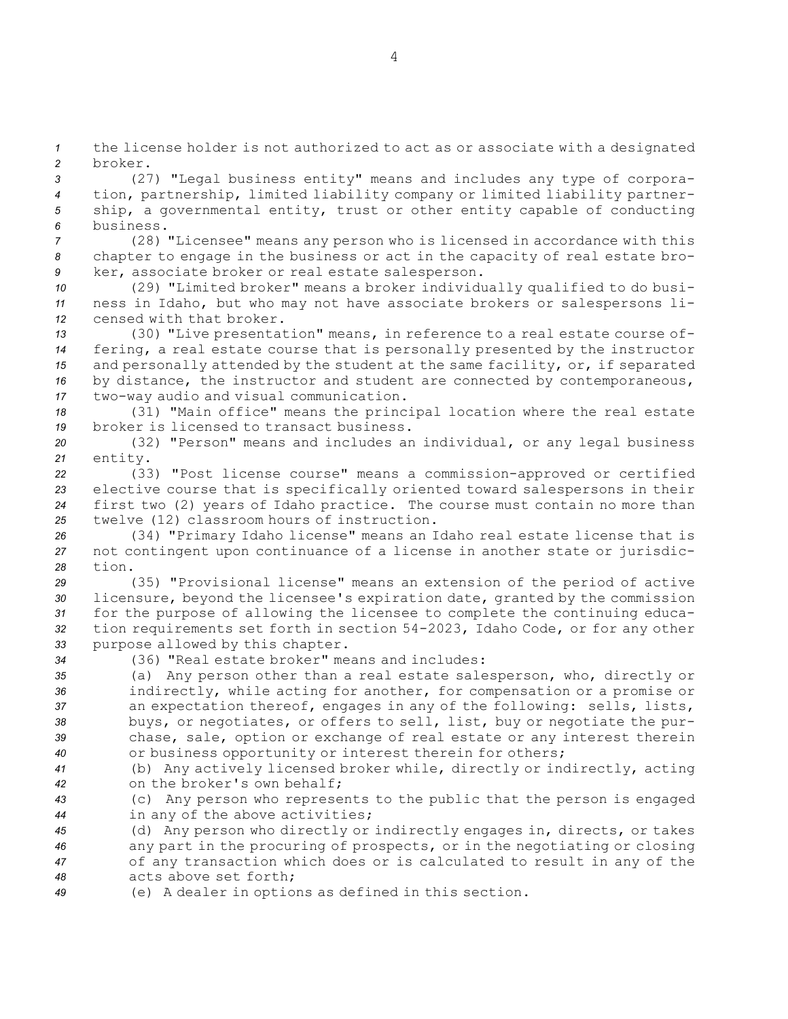*<sup>1</sup>* the license holder is not authorized to act as or associate with <sup>a</sup> designated *2* broker.

 (27) "Legal business entity" means and includes any type of corpora- tion, partnership, limited liability company or limited liability partner- ship, <sup>a</sup> governmental entity, trust or other entity capable of conducting business.

*<sup>7</sup>* (28) "Licensee" means any person who is licensed in accordance with this *<sup>8</sup>* chapter to engage in the business or act in the capacity of real estate bro-*<sup>9</sup>* ker, associate broker or real estate salesperson.

*<sup>10</sup>* (29) "Limited broker" means <sup>a</sup> broker individually qualified to do busi-*<sup>11</sup>* ness in Idaho, but who may not have associate brokers or salespersons li-*12* censed with that broker.

 (30) "Live presentation" means, in reference to <sup>a</sup> real estate course of- fering, <sup>a</sup> real estate course that is personally presented by the instructor and personally attended by the student at the same facility, or, if separated by distance, the instructor and student are connected by contemporaneous, two-way audio and visual communication.

*<sup>18</sup>* (31) "Main office" means the principal location where the real estate *19* broker is licensed to transact business.

*<sup>20</sup>* (32) "Person" means and includes an individual, or any legal business *<sup>21</sup>* entity.

 (33) "Post license course" means <sup>a</sup> commission-approved or certified elective course that is specifically oriented toward salespersons in their first two (2) years of Idaho practice. The course must contain no more than twelve (12) classroom hours of instruction.

*<sup>26</sup>* (34) "Primary Idaho license" means an Idaho real estate license that is *<sup>27</sup>* not contingent upon continuance of <sup>a</sup> license in another state or jurisdic-*28* tion.

 (35) "Provisional license" means an extension of the period of active licensure, beyond the licensee's expiration date, granted by the commission for the purpose of allowing the licensee to complete the continuing educa- tion requirements set forth in section 54-2023, Idaho Code, or for any other purpose allowed by this chapter.

*34* (36) "Real estate broker" means and includes:

 (a) Any person other than <sup>a</sup> real estate salesperson, who, directly or indirectly, while acting for another, for compensation or <sup>a</sup> promise or an expectation thereof, engages in any of the following: sells, lists, buys, or negotiates, or offers to sell, list, buy or negotiate the pur- chase, sale, option or exchange of real estate or any interest therein or business opportunity or interest therein for others;

*<sup>41</sup>* (b) Any actively licensed broker while, directly or indirectly, acting *42* on the broker's own behalf;

*<sup>43</sup>* (c) Any person who represents to the public that the person is engaged *<sup>44</sup>* in any of the above activities;

 (d) Any person who directly or indirectly engages in, directs, or takes any part in the procuring of prospects, or in the negotiating or closing of any transaction which does or is calculated to result in any of the acts above set forth;

*<sup>49</sup>* (e) <sup>A</sup> dealer in options as defined in this section.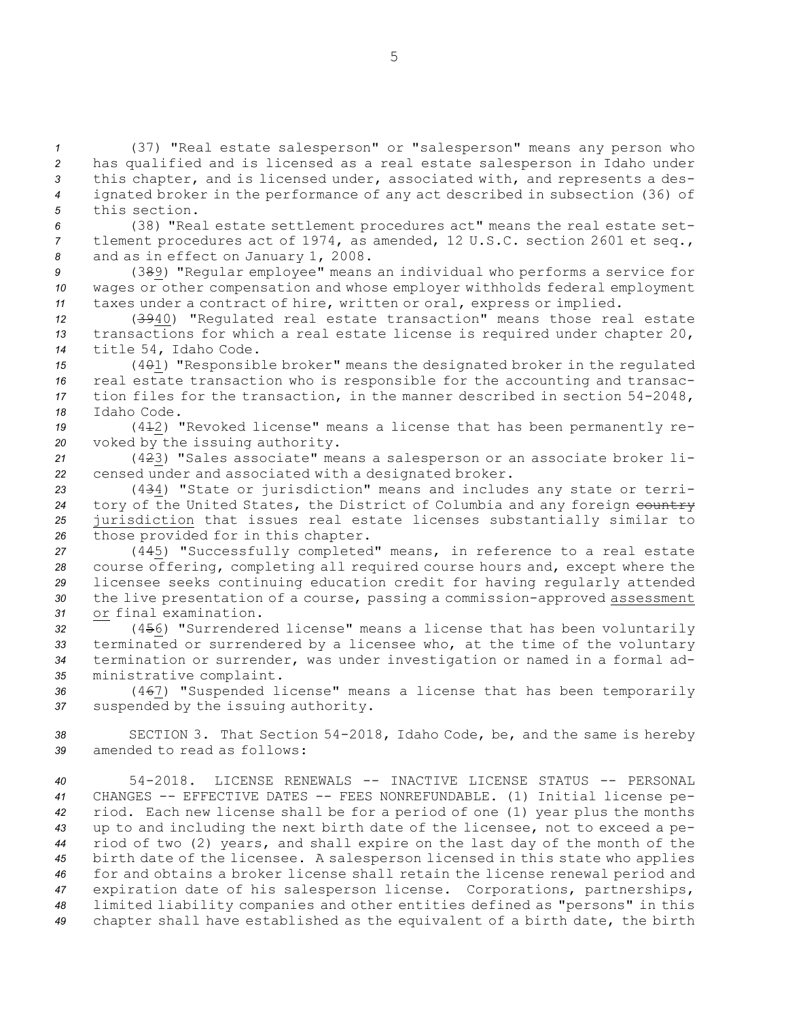(37) "Real estate salesperson" or "salesperson" means any person who has qualified and is licensed as <sup>a</sup> real estate salesperson in Idaho under this chapter, and is licensed under, associated with, and represents <sup>a</sup> des- ignated broker in the performance of any act described in subsection (36) of this section.

*<sup>6</sup>* (38) "Real estate settlement procedures act" means the real estate set-*<sup>7</sup>* tlement procedures act of 1974, as amended, 12 U.S.C. section 2601 et seq., *<sup>8</sup>* and as in effect on January 1, 2008.

*<sup>9</sup>* (389) "Regular employee" means an individual who performs <sup>a</sup> service for *<sup>10</sup>* wages or other compensation and whose employer withholds federal employment *<sup>11</sup>* taxes under <sup>a</sup> contract of hire, written or oral, express or implied.

*<sup>12</sup>* (3940) "Regulated real estate transaction" means those real estate *<sup>13</sup>* transactions for which <sup>a</sup> real estate license is required under chapter 20, *<sup>14</sup>* title 54, Idaho Code.

 (401) "Responsible broker" means the designated broker in the regulated real estate transaction who is responsible for the accounting and transac- tion files for the transaction, in the manner described in section 54-2048, Idaho Code.

*<sup>19</sup>* (412) "Revoked license" means <sup>a</sup> license that has been permanently re-*<sup>20</sup>* voked by the issuing authority.

*<sup>21</sup>* (423) "Sales associate" means <sup>a</sup> salesperson or an associate broker li-*<sup>22</sup>* censed under and associated with <sup>a</sup> designated broker.

 (434) "State or jurisdiction" means and includes any state or terri-24 tory of the United States, the District of Columbia and any foreign country jurisdiction that issues real estate licenses substantially similar to those provided for in this chapter.

 (445) "Successfully completed" means, in reference to <sup>a</sup> real estate course offering, completing all required course hours and, except where the licensee seeks continuing education credit for having regularly attended the live presentation of <sup>a</sup> course, passing <sup>a</sup> commission-approved assessment or final examination.

 (456) "Surrendered license" means <sup>a</sup> license that has been voluntarily terminated or surrendered by <sup>a</sup> licensee who, at the time of the voluntary termination or surrender, was under investigation or named in <sup>a</sup> formal ad-ministrative complaint.

*<sup>36</sup>* (467) "Suspended license" means <sup>a</sup> license that has been temporarily *<sup>37</sup>* suspended by the issuing authority.

*<sup>38</sup>* SECTION 3. That Section 54-2018, Idaho Code, be, and the same is hereby *39* amended to read as follows:

 54-2018. LICENSE RENEWALS -- INACTIVE LICENSE STATUS -- PERSONAL CHANGES -- EFFECTIVE DATES -- FEES NONREFUNDABLE. (1) Initial license pe- riod. Each new license shall be for <sup>a</sup> period of one (1) year plus the months up to and including the next birth date of the licensee, not to exceed <sup>a</sup> pe- riod of two (2) years, and shall expire on the last day of the month of the birth date of the licensee. <sup>A</sup> salesperson licensed in this state who applies for and obtains <sup>a</sup> broker license shall retain the license renewal period and expiration date of his salesperson license. Corporations, partnerships, limited liability companies and other entities defined as "persons" in this chapter shall have established as the equivalent of <sup>a</sup> birth date, the birth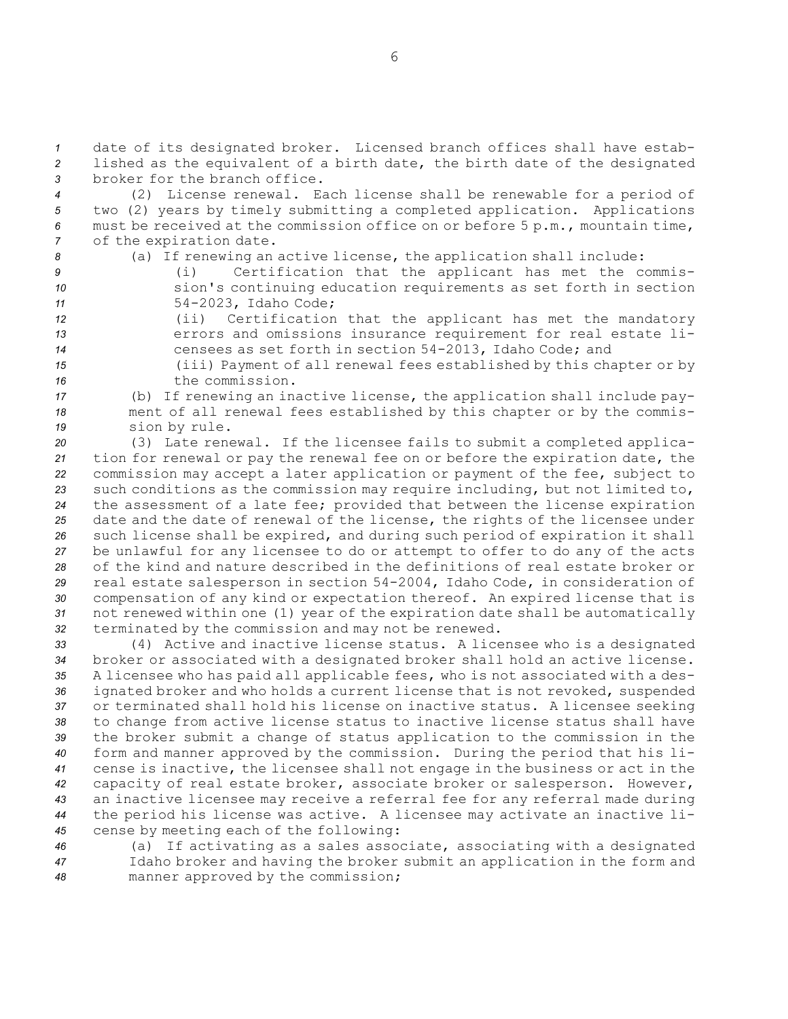*<sup>1</sup>* date of its designated broker. Licensed branch offices shall have estab-*<sup>2</sup>* lished as the equivalent of <sup>a</sup> birth date, the birth date of the designated *3* broker for the branch office.

 (2) License renewal. Each license shall be renewable for <sup>a</sup> period of two (2) years by timely submitting <sup>a</sup> completed application. Applications must be received at the commission office on or before 5 p.m., mountain time, of the expiration date.

- 
- *<sup>8</sup>* (a) If renewing an active license, the application shall include:
- 

*<sup>9</sup>* (i) Certification that the applicant has met the commis-*<sup>10</sup>* sion's continuing education requirements as set forth in section

*<sup>11</sup>* 54-2023, Idaho Code;

- *<sup>12</sup>* (ii) Certification that the applicant has met the mandatory *<sup>13</sup>* errors and omissions insurance requirement for real estate li-*<sup>14</sup>* censees as set forth in section 54-2013, Idaho Code; and
- *<sup>15</sup>* (iii) Payment of all renewal fees established by this chapter or by *16* the commission.
- *<sup>17</sup>* (b) If renewing an inactive license, the application shall include pay-*<sup>18</sup>* ment of all renewal fees established by this chapter or by the commis-*<sup>19</sup>* sion by rule.

 (3) Late renewal. If the licensee fails to submit <sup>a</sup> completed applica- tion for renewal or pay the renewal fee on or before the expiration date, the commission may accept <sup>a</sup> later application or payment of the fee, subject to such conditions as the commission may require including, but not limited to, the assessment of <sup>a</sup> late fee; provided that between the license expiration date and the date of renewal of the license, the rights of the licensee under such license shall be expired, and during such period of expiration it shall be unlawful for any licensee to do or attempt to offer to do any of the acts of the kind and nature described in the definitions of real estate broker or real estate salesperson in section 54-2004, Idaho Code, in consideration of compensation of any kind or expectation thereof. An expired license that is not renewed within one (1) year of the expiration date shall be automatically terminated by the commission and may not be renewed.

 (4) Active and inactive license status. <sup>A</sup> licensee who is <sup>a</sup> designated broker or associated with <sup>a</sup> designated broker shall hold an active license. <sup>A</sup> licensee who has paid all applicable fees, who is not associated with <sup>a</sup> des- ignated broker and who holds <sup>a</sup> current license that is not revoked, suspended or terminated shall hold his license on inactive status. <sup>A</sup> licensee seeking to change from active license status to inactive license status shall have the broker submit <sup>a</sup> change of status application to the commission in the form and manner approved by the commission. During the period that his li- cense is inactive, the licensee shall not engage in the business or act in the capacity of real estate broker, associate broker or salesperson. However, an inactive licensee may receive <sup>a</sup> referral fee for any referral made during the period his license was active. <sup>A</sup> licensee may activate an inactive li-cense by meeting each of the following:

*<sup>46</sup>* (a) If activating as <sup>a</sup> sales associate, associating with <sup>a</sup> designated *<sup>47</sup>* Idaho broker and having the broker submit an application in the form and *<sup>48</sup>* manner approved by the commission;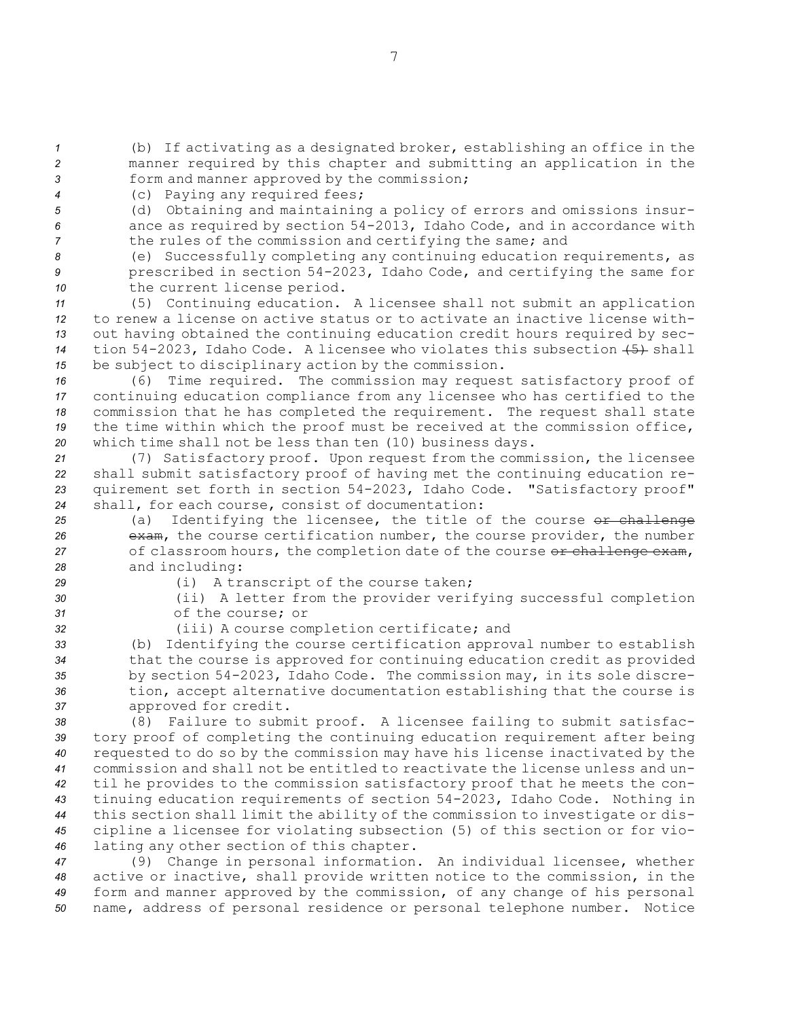*<sup>1</sup>* (b) If activating as <sup>a</sup> designated broker, establishing an office in the *<sup>2</sup>* manner required by this chapter and submitting an application in the *<sup>3</sup>* form and manner approved by the commission;

*<sup>4</sup>* (c) Paying any required fees;

*<sup>5</sup>* (d) Obtaining and maintaining <sup>a</sup> policy of errors and omissions insur-*<sup>6</sup>* ance as required by section 54-2013, Idaho Code, and in accordance with *<sup>7</sup>* the rules of the commission and certifying the same; and

*<sup>8</sup>* (e) Successfully completing any continuing education requirements, as *<sup>9</sup>* prescribed in section 54-2023, Idaho Code, and certifying the same for *<sup>10</sup>* the current license period.

 (5) Continuing education. <sup>A</sup> licensee shall not submit an application to renew <sup>a</sup> license on active status or to activate an inactive license with- out having obtained the continuing education credit hours required by sec- tion 54-2023, Idaho Code. A licensee who violates this subsection (5) shall be subject to disciplinary action by the commission.

 (6) Time required. The commission may request satisfactory proof of continuing education compliance from any licensee who has certified to the commission that he has completed the requirement. The request shall state the time within which the proof must be received at the commission office, which time shall not be less than ten (10) business days.

 (7) Satisfactory proof. Upon request from the commission, the licensee shall submit satisfactory proof of having met the continuing education re- quirement set forth in section 54-2023, Idaho Code. "Satisfactory proof" shall, for each course, consist of documentation:

25 (a) Identifying the licensee, the title of the course or challenge 26 exam, the course certification number, the course provider, the number 27 of classroom hours, the completion date of the course or challenge exam, *<sup>28</sup>* and including:

*<sup>29</sup>* (i) <sup>A</sup> transcript of the course taken;

*<sup>30</sup>* (ii) <sup>A</sup> letter from the provider verifying successful completion *31* of the course; or

*<sup>32</sup>* (iii) <sup>A</sup> course completion certificate; and

 (b) Identifying the course certification approval number to establish that the course is approved for continuing education credit as provided by section 54-2023, Idaho Code. The commission may, in its sole discre- tion, accept alternative documentation establishing that the course is approved for credit.

 (8) Failure to submit proof. <sup>A</sup> licensee failing to submit satisfac- tory proof of completing the continuing education requirement after being requested to do so by the commission may have his license inactivated by the commission and shall not be entitled to reactivate the license unless and un- til he provides to the commission satisfactory proof that he meets the con- tinuing education requirements of section 54-2023, Idaho Code. Nothing in this section shall limit the ability of the commission to investigate or dis- cipline <sup>a</sup> licensee for violating subsection (5) of this section or for vio-lating any other section of this chapter.

 (9) Change in personal information. An individual licensee, whether active or inactive, shall provide written notice to the commission, in the form and manner approved by the commission, of any change of his personal name, address of personal residence or personal telephone number. Notice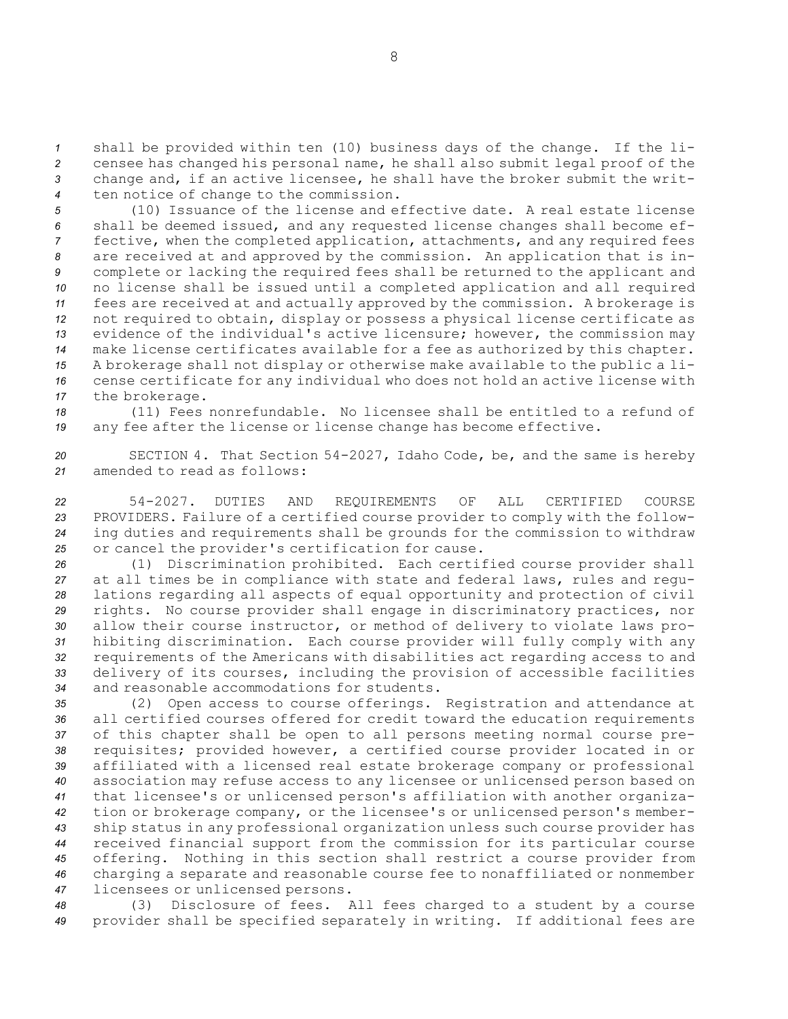shall be provided within ten (10) business days of the change. If the li- censee has changed his personal name, he shall also submit legal proof of the change and, if an active licensee, he shall have the broker submit the writ-ten notice of change to the commission.

 (10) Issuance of the license and effective date. A real estate license shall be deemed issued, and any requested license changes shall become ef- fective, when the completed application, attachments, and any required fees are received at and approved by the commission. An application that is in- complete or lacking the required fees shall be returned to the applicant and no license shall be issued until <sup>a</sup> completed application and all required fees are received at and actually approved by the commission. <sup>A</sup> brokerage is not required to obtain, display or possess <sup>a</sup> physical license certificate as evidence of the individual's active licensure; however, the commission may make license certificates available for <sup>a</sup> fee as authorized by this chapter. <sup>A</sup> brokerage shall not display or otherwise make available to the public <sup>a</sup> li- cense certificate for any individual who does not hold an active license with the brokerage.

*18* (11) Fees nonrefundable. No licensee shall be entitled to <sup>a</sup> refund of *<sup>19</sup>* any fee after the license or license change has become effective.

*<sup>20</sup>* SECTION 4. That Section 54-2027, Idaho Code, be, and the same is hereby *21* amended to read as follows:

 54-2027. DUTIES AND REQUIREMENTS OF ALL CERTIFIED COURSE PROVIDERS. Failure of <sup>a</sup> certified course provider to comply with the follow- ing duties and requirements shall be grounds for the commission to withdraw or cancel the provider's certification for cause.

 (1) Discrimination prohibited. Each certified course provider shall at all times be in compliance with state and federal laws, rules and regu- lations regarding all aspects of equal opportunity and protection of civil rights. No course provider shall engage in discriminatory practices, nor allow their course instructor, or method of delivery to violate laws pro- hibiting discrimination. Each course provider will fully comply with any requirements of the Americans with disabilities act regarding access to and delivery of its courses, including the provision of accessible facilities and reasonable accommodations for students.

 (2) Open access to course offerings. Registration and attendance at all certified courses offered for credit toward the education requirements of this chapter shall be open to all persons meeting normal course pre- requisites; provided however, <sup>a</sup> certified course provider located in or affiliated with <sup>a</sup> licensed real estate brokerage company or professional association may refuse access to any licensee or unlicensed person based on that licensee's or unlicensed person's affiliation with another organiza- tion or brokerage company, or the licensee's or unlicensed person's member- ship status in any professional organization unless such course provider has received financial support from the commission for its particular course offering. Nothing in this section shall restrict <sup>a</sup> course provider from charging <sup>a</sup> separate and reasonable course fee to nonaffiliated or nonmember licensees or unlicensed persons.

*<sup>48</sup>* (3) Disclosure of fees. All fees charged to <sup>a</sup> student by <sup>a</sup> course *<sup>49</sup>* provider shall be specified separately in writing. If additional fees are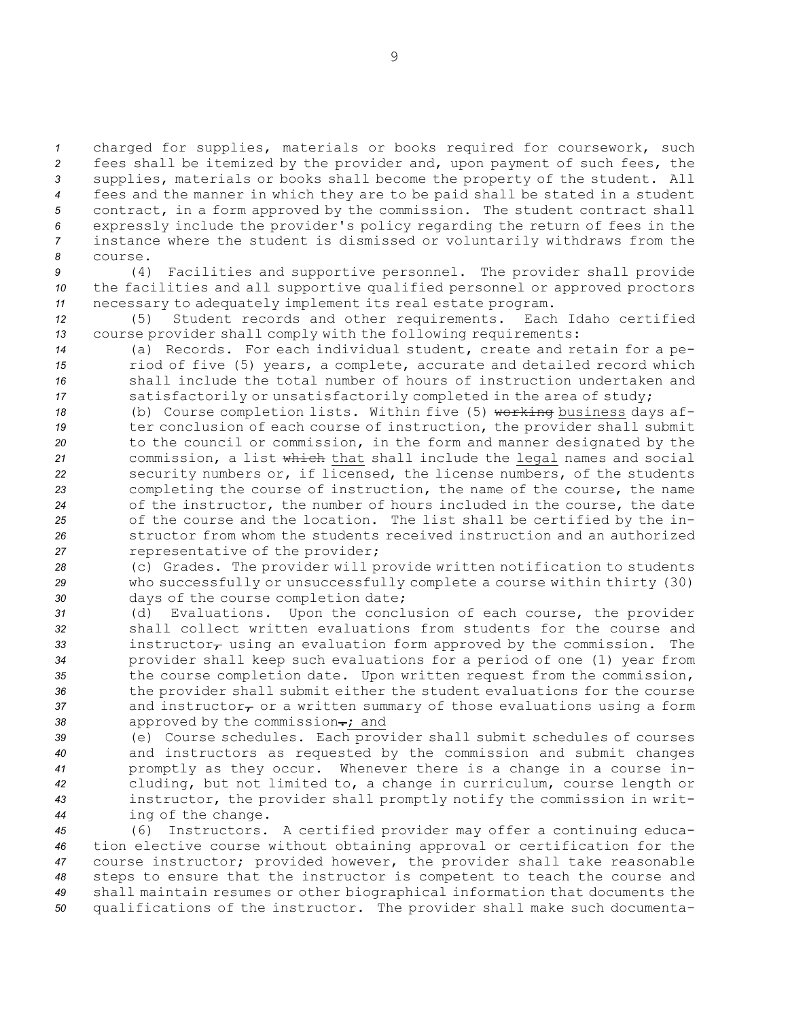charged for supplies, materials or books required for coursework, such fees shall be itemized by the provider and, upon payment of such fees, the supplies, materials or books shall become the property of the student. All fees and the manner in which they are to be paid shall be stated in <sup>a</sup> student contract, in <sup>a</sup> form approved by the commission. The student contract shall expressly include the provider's policy regarding the return of fees in the instance where the student is dismissed or voluntarily withdraws from the *8* course.

*<sup>9</sup>* (4) Facilities and supportive personnel. The provider shall provide *<sup>10</sup>* the facilities and all supportive qualified personnel or approved proctors *<sup>11</sup>* necessary to adequately implement its real estate program.

*<sup>12</sup>* (5) Student records and other requirements. Each Idaho certified *<sup>13</sup>* course provider shall comply with the following requirements:

 (a) Records. For each individual student, create and retain for <sup>a</sup> pe- riod of five (5) years, <sup>a</sup> complete, accurate and detailed record which shall include the total number of hours of instruction undertaken and 17 satisfactorily or unsatisfactorily completed in the area of study;

- *<sup>18</sup>* (b) Course completion lists. Within five (5) working business days af-*<sup>19</sup>* ter conclusion of each course of instruction, the provider shall submit *<sup>20</sup>* to the council or commission, in the form and manner designated by the *<sup>21</sup>* commission, <sup>a</sup> list which that shall include the legal names and social *<sup>22</sup>* security numbers or, if licensed, the license numbers, of the students *<sup>23</sup>* completing the course of instruction, the name of the course, the name *<sup>24</sup>* of the instructor, the number of hours included in the course, the date *<sup>25</sup>* of the course and the location. The list shall be certified by the in-*26* structor from whom the students received instruction and an authorized *<sup>27</sup>* representative of the provider;
- *<sup>28</sup>* (c) Grades. The provider will provide written notification to students *<sup>29</sup>* who successfully or unsuccessfully complete <sup>a</sup> course within thirty (30) *<sup>30</sup>* days of the course completion date;
- *<sup>31</sup>* (d) Evaluations. Upon the conclusion of each course, the provider *32* shall collect written evaluations from students for the course and 33 **instructor<sub>7</sub>** using an evaluation form approved by the commission. The *<sup>34</sup>* provider shall keep such evaluations for <sup>a</sup> period of one (1) year from *<sup>35</sup>* the course completion date. Upon written request from the commission, *<sup>36</sup>* the provider shall submit either the student evaluations for the course 37 and instructor $_{\tau}$  or a written summary of those evaluations using a form 38 approved by the commission-; and

 (e) Course schedules. Each provider shall submit schedules of courses and instructors as requested by the commission and submit changes promptly as they occur. Whenever there is <sup>a</sup> change in <sup>a</sup> course in- cluding, but not limited to, <sup>a</sup> change in curriculum, course length or instructor, the provider shall promptly notify the commission in writ-ing of the change.

 (6) Instructors. <sup>A</sup> certified provider may offer <sup>a</sup> continuing educa- tion elective course without obtaining approval or certification for the course instructor; provided however, the provider shall take reasonable steps to ensure that the instructor is competent to teach the course and shall maintain resumes or other biographical information that documents the qualifications of the instructor. The provider shall make such documenta-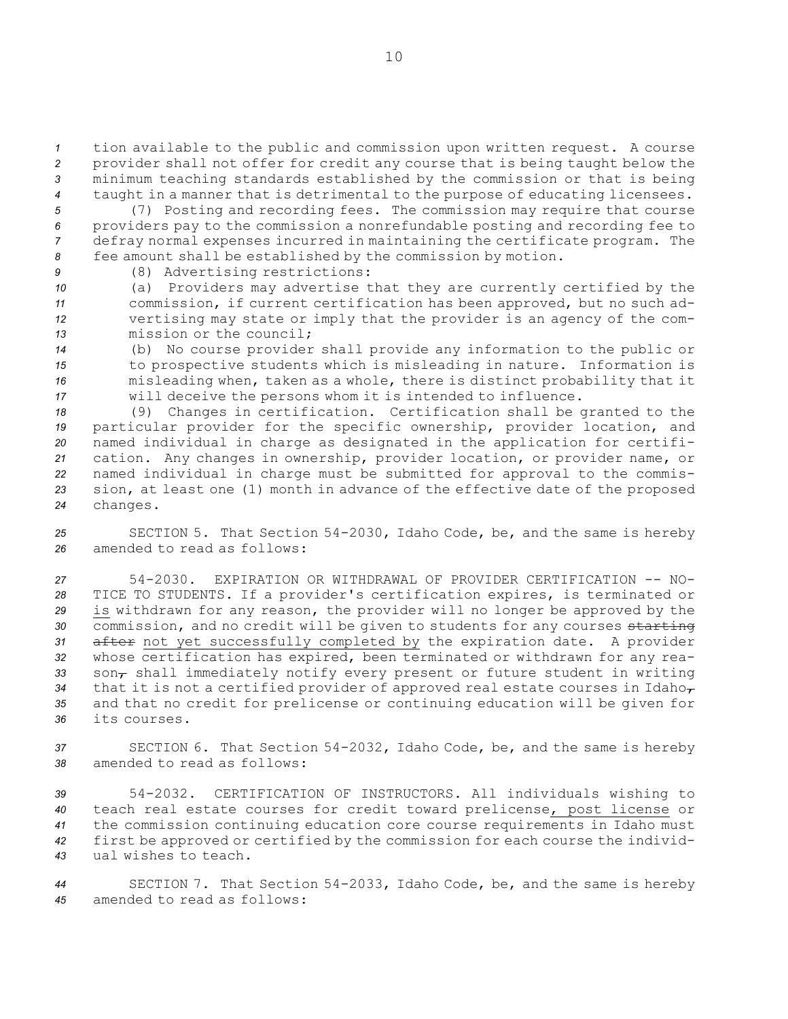tion available to the public and commission upon written request. <sup>A</sup> course provider shall not offer for credit any course that is being taught below the minimum teaching standards established by the commission or that is being taught in <sup>a</sup> manner that is detrimental to the purpose of educating licensees.

 (7) Posting and recording fees. The commission may require that course providers pay to the commission <sup>a</sup> nonrefundable posting and recording fee to defray normal expenses incurred in maintaining the certificate program. The fee amount shall be established by the commission by motion.

*<sup>9</sup>* (8) Advertising restrictions:

 (a) Providers may advertise that they are currently certified by the commission, if current certification has been approved, but no such ad- vertising may state or imply that the provider is an agency of the com-mission or the council;

 (b) No course provider shall provide any information to the public or to prospective students which is misleading in nature. Information is misleading when, taken as <sup>a</sup> whole, there is distinct probability that it will deceive the persons whom it is intended to influence.

 (9) Changes in certification. Certification shall be granted to the particular provider for the specific ownership, provider location, and named individual in charge as designated in the application for certifi- cation. Any changes in ownership, provider location, or provider name, or named individual in charge must be submitted for approval to the commis- sion, at least one (1) month in advance of the effective date of the proposed *<sup>24</sup>* changes.

*<sup>25</sup>* SECTION 5. That Section 54-2030, Idaho Code, be, and the same is hereby *26* amended to read as follows:

 54-2030. EXPIRATION OR WITHDRAWAL OF PROVIDER CERTIFICATION -- NO- TICE TO STUDENTS. If <sup>a</sup> provider's certification expires, is terminated or is withdrawn for any reason, the provider will no longer be approved by the commission, and no credit will be given to students for any courses starting after not yet successfully completed by the expiration date. <sup>A</sup> provider whose certification has expired, been terminated or withdrawn for any rea-33 son<sub>r</sub> shall immediately notify every present or future student in writing 34 that it is not a certified provider of approved real estate courses in Idaho<sub>7</sub> and that no credit for prelicense or continuing education will be given for its courses.

*<sup>37</sup>* SECTION 6. That Section 54-2032, Idaho Code, be, and the same is hereby *38* amended to read as follows:

 54-2032. CERTIFICATION OF INSTRUCTORS. All individuals wishing to teach real estate courses for credit toward prelicense, post license or the commission continuing education core course requirements in Idaho must first be approved or certified by the commission for each course the individ-ual wishes to teach.

*<sup>44</sup>* SECTION 7. That Section 54-2033, Idaho Code, be, and the same is hereby *45* amended to read as follows: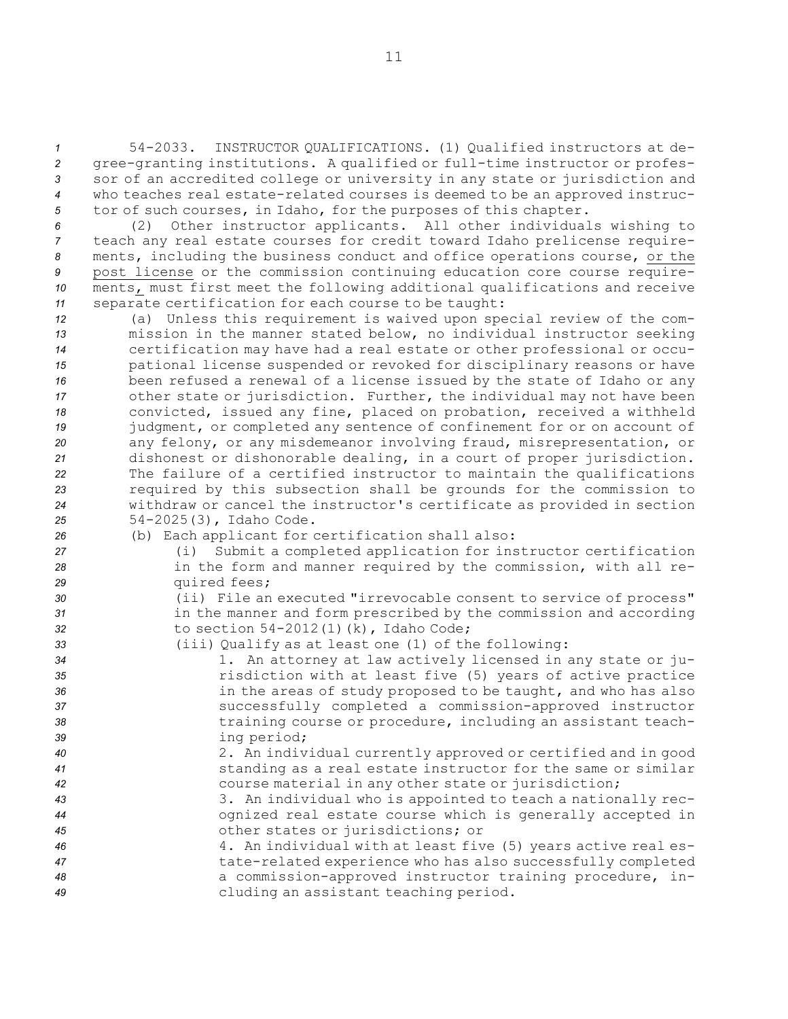54-2033. INSTRUCTOR QUALIFICATIONS. (1) Qualified instructors at de- gree-granting institutions. <sup>A</sup> qualified or full-time instructor or profes- sor of an accredited college or university in any state or jurisdiction and who teaches real estate-related courses is deemed to be an approved instruc-tor of such courses, in Idaho, for the purposes of this chapter.

 (2) Other instructor applicants. All other individuals wishing to teach any real estate courses for credit toward Idaho prelicense require- ments, including the business conduct and office operations course, or the post license or the commission continuing education core course require- ments, must first meet the following additional qualifications and receive separate certification for each course to be taught:

 (a) Unless this requirement is waived upon special review of the com- mission in the manner stated below, no individual instructor seeking certification may have had <sup>a</sup> real estate or other professional or occu- pational license suspended or revoked for disciplinary reasons or have been refused <sup>a</sup> renewal of <sup>a</sup> license issued by the state of Idaho or any other state or jurisdiction. Further, the individual may not have been convicted, issued any fine, placed on probation, received <sup>a</sup> withheld judgment, or completed any sentence of confinement for or on account of any felony, or any misdemeanor involving fraud, misrepresentation, or dishonest or dishonorable dealing, in <sup>a</sup> court of proper jurisdiction. The failure of <sup>a</sup> certified instructor to maintain the qualifications required by this subsection shall be grounds for the commission to withdraw or cancel the instructor's certificate as provided in section 54-2025(3), Idaho Code.

- *<sup>26</sup>* (b) Each applicant for certification shall also:
- *<sup>27</sup>* (i) Submit <sup>a</sup> completed application for instructor certification *<sup>28</sup>* in the form and manner required by the commission, with all re-*<sup>29</sup>* quired fees;
- *<sup>30</sup>* (ii) File an executed "irrevocable consent to service of process" *<sup>31</sup>* in the manner and form prescribed by the commission and according *<sup>32</sup>* to section 54-2012(1)(k), Idaho Code;
- *<sup>33</sup>* (iii) Qualify as at least one (1) of the following:
- *<sup>34</sup>* 1. An attorney at law actively licensed in any state or ju-*<sup>35</sup>* risdiction with at least five (5) years of active practice *<sup>36</sup>* in the areas of study proposed to be taught, and who has also *<sup>37</sup>* successfully completed <sup>a</sup> commission-approved instructor *<sup>38</sup>* training course or procedure, including an assistant teach-*<sup>39</sup>* ing period;
- *<sup>40</sup>* 2. An individual currently approved or certified and in good *<sup>41</sup>* standing as <sup>a</sup> real estate instructor for the same or similar *<sup>42</sup>* course material in any other state or jurisdiction;
- *<sup>43</sup>* 3. An individual who is appointed to teach <sup>a</sup> nationally rec-*<sup>44</sup>* ognized real estate course which is generally accepted in *<sup>45</sup>* other states or jurisdictions; or
- *<sup>46</sup>* 4. An individual with at least five (5) years active real es-*<sup>47</sup>* tate-related experience who has also successfully completed *<sup>48</sup>* <sup>a</sup> commission-approved instructor training procedure, in-*<sup>49</sup>* cluding an assistant teaching period.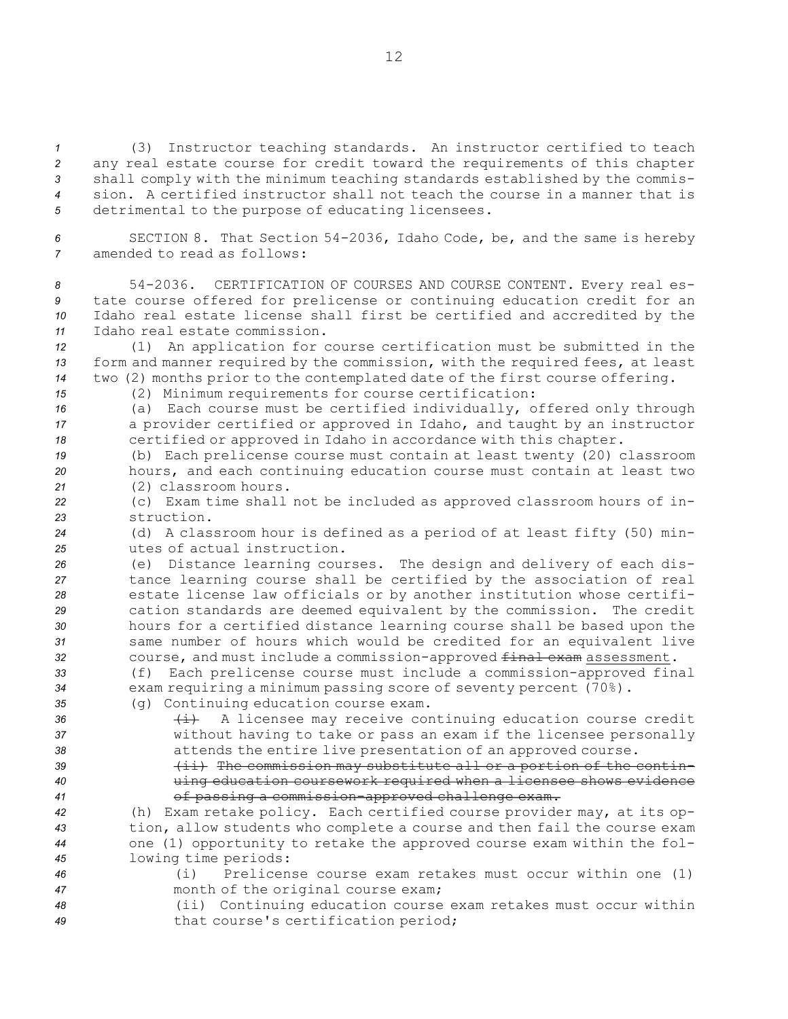(3) Instructor teaching standards. An instructor certified to teach any real estate course for credit toward the requirements of this chapter shall comply with the minimum teaching standards established by the commis- sion. A certified instructor shall not teach the course in <sup>a</sup> manner that is detrimental to the purpose of educating licensees.

*<sup>6</sup>* SECTION 8. That Section 54-2036, Idaho Code, be, and the same is hereby *7* amended to read as follows:

 54-2036. CERTIFICATION OF COURSES AND COURSE CONTENT. Every real es- tate course offered for prelicense or continuing education credit for an Idaho real estate license shall first be certified and accredited by the Idaho real estate commission.

*<sup>12</sup>* (1) An application for course certification must be submitted in the *<sup>13</sup>* form and manner required by the commission, with the required fees, at least *<sup>14</sup>* two (2) months prior to the contemplated date of the first course offering.

*<sup>15</sup>* (2) Minimum requirements for course certification:

*<sup>16</sup>* (a) Each course must be certified individually, offered only through *<sup>17</sup>* <sup>a</sup> provider certified or approved in Idaho, and taught by an instructor 18 certified or approved in Idaho in accordance with this chapter.

*<sup>19</sup>* (b) Each prelicense course must contain at least twenty (20) classroom *<sup>20</sup>* hours, and each continuing education course must contain at least two *<sup>21</sup>* (2) classroom hours.

*<sup>22</sup>* (c) Exam time shall not be included as approved classroom hours of in-*23* struction.

*<sup>24</sup>* (d) <sup>A</sup> classroom hour is defined as <sup>a</sup> period of at least fifty (50) min-*25* utes of actual instruction.

 (e) Distance learning courses. The design and delivery of each dis- tance learning course shall be certified by the association of real estate license law officials or by another institution whose certifi- cation standards are deemed equivalent by the commission. The credit hours for <sup>a</sup> certified distance learning course shall be based upon the same number of hours which would be credited for an equivalent live course, and must include <sup>a</sup> commission-approved final exam assessment.

*<sup>33</sup>* (f) Each prelicense course must include <sup>a</sup> commission-approved final *<sup>34</sup>* exam requiring <sup>a</sup> minimum passing score of seventy percent (70%).

*<sup>35</sup>* (g) Continuing education course exam.

36 **(i)** A licensee may receive continuing education course credit *<sup>37</sup>* without having to take or pass an exam if the licensee personally *<sup>38</sup>* attends the entire live presentation of an approved course.

*<sup>39</sup>* (ii) The commission may substitute all or <sup>a</sup> portion of the contin-*<sup>40</sup>* uing education coursework required when <sup>a</sup> licensee shows evidence *<sup>41</sup>* of passing <sup>a</sup> commission-approved challenge exam.

 (h) Exam retake policy. Each certified course provider may, at its op- tion, allow students who complete <sup>a</sup> course and then fail the course exam one (1) opportunity to retake the approved course exam within the fol-lowing time periods:

*46* (i) Prelicense course exam retakes must occur within one (1) *<sup>47</sup>* month of the original course exam;

*<sup>48</sup>* (ii) Continuing education course exam retakes must occur within *<sup>49</sup>* that course's certification period;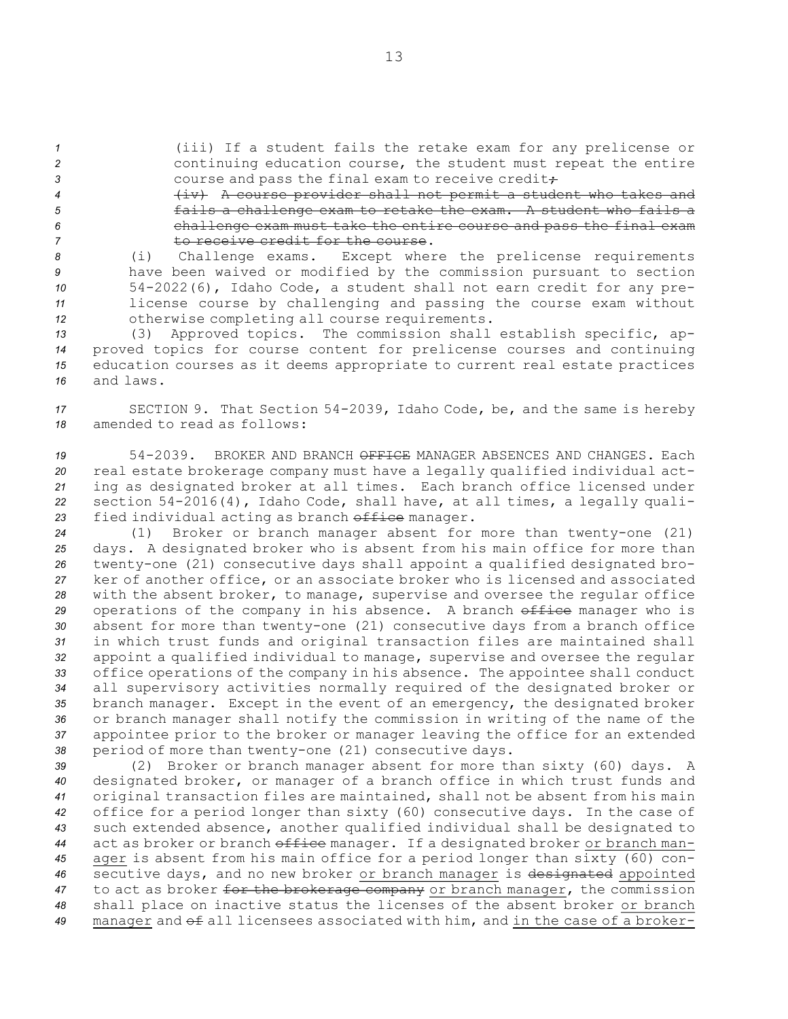*<sup>1</sup>* (iii) If <sup>a</sup> student fails the retake exam for any prelicense or *<sup>2</sup>* continuing education course, the student must repeat the entire 3 **3** course and pass the final exam to receive credit<sub>+</sub>

 (iv) <sup>A</sup> course provider shall not permit <sup>a</sup> student who takes and fails <sup>a</sup> challenge exam to retake the exam. <sup>A</sup> student who fails <sup>a</sup> challenge exam must take the entire course and pass the final exam 7 to receive credit for the course.

 (i) Challenge exams. Except where the prelicense requirements have been waived or modified by the commission pursuant to section 54-2022(6), Idaho Code, <sup>a</sup> student shall not earn credit for any pre- license course by challenging and passing the course exam without otherwise completing all course requirements.

 (3) Approved topics. The commission shall establish specific, ap- proved topics for course content for prelicense courses and continuing education courses as it deems appropriate to current real estate practices and laws.

*<sup>17</sup>* SECTION 9. That Section 54-2039, Idaho Code, be, and the same is hereby *18* amended to read as follows:

 54-2039. BROKER AND BRANCH OFFICE MANAGER ABSENCES AND CHANGES. Each real estate brokerage company must have <sup>a</sup> legally qualified individual act- ing as designated broker at all times. Each branch office licensed under section 54-2016(4), Idaho Code, shall have, at all times, <sup>a</sup> legally quali-fied individual acting as branch office manager.

 (1) Broker or branch manager absent for more than twenty-one (21) days. <sup>A</sup> designated broker who is absent from his main office for more than twenty-one (21) consecutive days shall appoint <sup>a</sup> qualified designated bro- ker of another office, or an associate broker who is licensed and associated with the absent broker, to manage, supervise and oversee the regular office 29 operations of the company in his absence. A branch  $\theta$ ffice manager who is absent for more than twenty-one (21) consecutive days from <sup>a</sup> branch office in which trust funds and original transaction files are maintained shall appoint <sup>a</sup> qualified individual to manage, supervise and oversee the regular office operations of the company in his absence. The appointee shall conduct all supervisory activities normally required of the designated broker or branch manager. Except in the event of an emergency, the designated broker or branch manager shall notify the commission in writing of the name of the appointee prior to the broker or manager leaving the office for an extended period of more than twenty-one (21) consecutive days.

 (2) Broker or branch manager absent for more than sixty (60) days. <sup>A</sup> designated broker, or manager of <sup>a</sup> branch office in which trust funds and original transaction files are maintained, shall not be absent from his main office for <sup>a</sup> period longer than sixty (60) consecutive days. In the case of such extended absence, another qualified individual shall be designated to act as broker or branch office manager. If <sup>a</sup> designated broker or branch man- ager is absent from his main office for <sup>a</sup> period longer than sixty (60) con- secutive days, and no new broker or branch manager is designated appointed to act as broker for the brokerage company or branch manager, the commission shall place on inactive status the licenses of the absent broker or branch manager and of all licensees associated with him, and in the case of <sup>a</sup> broker-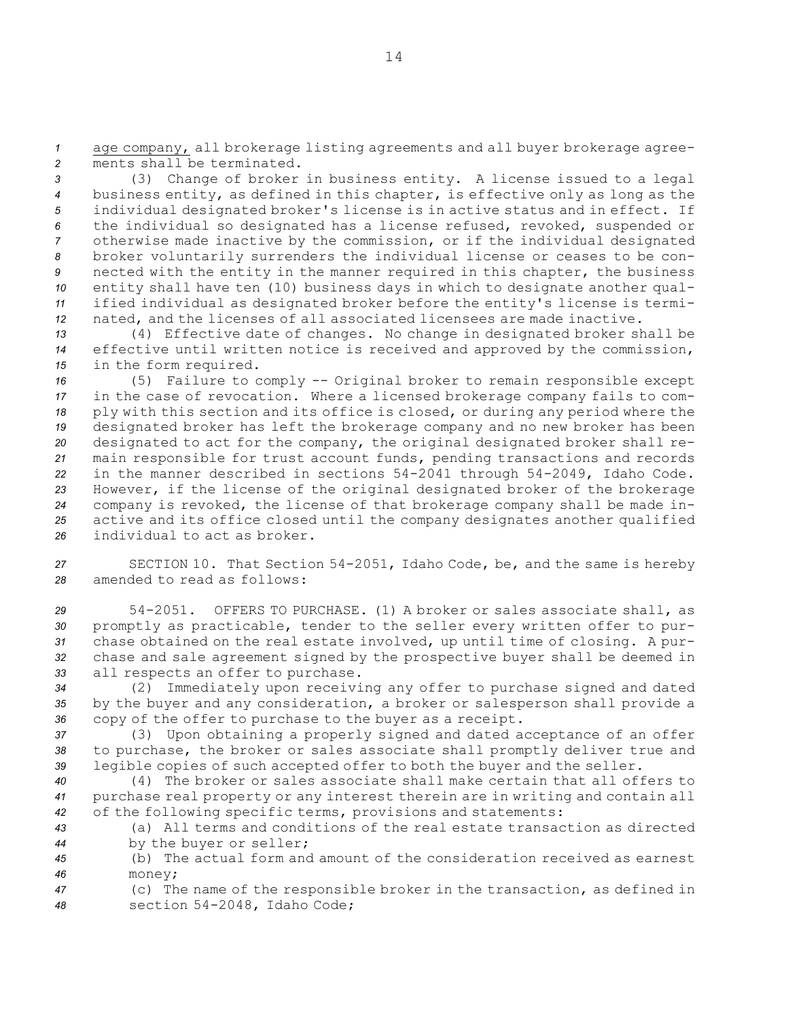*<sup>1</sup>* age company, all brokerage listing agreements and all buyer brokerage agree-*2* ments shall be terminated.

 (3) Change of broker in business entity. <sup>A</sup> license issued to <sup>a</sup> legal business entity, as defined in this chapter, is effective only as long as the individual designated broker's license is in active status and in effect. If the individual so designated has <sup>a</sup> license refused, revoked, suspended or otherwise made inactive by the commission, or if the individual designated broker voluntarily surrenders the individual license or ceases to be con- nected with the entity in the manner required in this chapter, the business entity shall have ten (10) business days in which to designate another qual- ified individual as designated broker before the entity's license is termi-nated, and the licenses of all associated licensees are made inactive.

*<sup>13</sup>* (4) Effective date of changes. No change in designated broker shall be *<sup>14</sup>* effective until written notice is received and approved by the commission, *<sup>15</sup>* in the form required.

 (5) Failure to comply -- Original broker to remain responsible except in the case of revocation. Where <sup>a</sup> licensed brokerage company fails to com- ply with this section and its office is closed, or during any period where the designated broker has left the brokerage company and no new broker has been designated to act for the company, the original designated broker shall re- main responsible for trust account funds, pending transactions and records in the manner described in sections 54-2041 through 54-2049, Idaho Code. However, if the license of the original designated broker of the brokerage company is revoked, the license of that brokerage company shall be made in- active and its office closed until the company designates another qualified individual to act as broker.

*<sup>27</sup>* SECTION 10. That Section 54-2051, Idaho Code, be, and the same is hereby *28* amended to read as follows:

 54-2051. OFFERS TO PURCHASE. (1) A broker or sales associate shall, as promptly as practicable, tender to the seller every written offer to pur- chase obtained on the real estate involved, up until time of closing. <sup>A</sup> pur- chase and sale agreement signed by the prospective buyer shall be deemed in all respects an offer to purchase.

*<sup>34</sup>* (2) Immediately upon receiving any offer to purchase signed and dated *<sup>35</sup>* by the buyer and any consideration, <sup>a</sup> broker or salesperson shall provide <sup>a</sup> *<sup>36</sup>* copy of the offer to purchase to the buyer as <sup>a</sup> receipt.

*<sup>37</sup>* (3) Upon obtaining <sup>a</sup> properly signed and dated acceptance of an offer *<sup>38</sup>* to purchase, the broker or sales associate shall promptly deliver true and *<sup>39</sup>* legible copies of such accepted offer to both the buyer and the seller.

*40* (4) The broker or sales associate shall make certain that all offers to *<sup>41</sup>* purchase real property or any interest therein are in writing and contain all *<sup>42</sup>* of the following specific terms, provisions and statements:

*43* (a) All terms and conditions of the real estate transaction as directed *<sup>44</sup>* by the buyer or seller;

*<sup>45</sup>* (b) The actual form and amount of the consideration received as earnest *46* money;

*<sup>47</sup>* (c) The name of the responsible broker in the transaction, as defined in *<sup>48</sup>* section 54-2048, Idaho Code;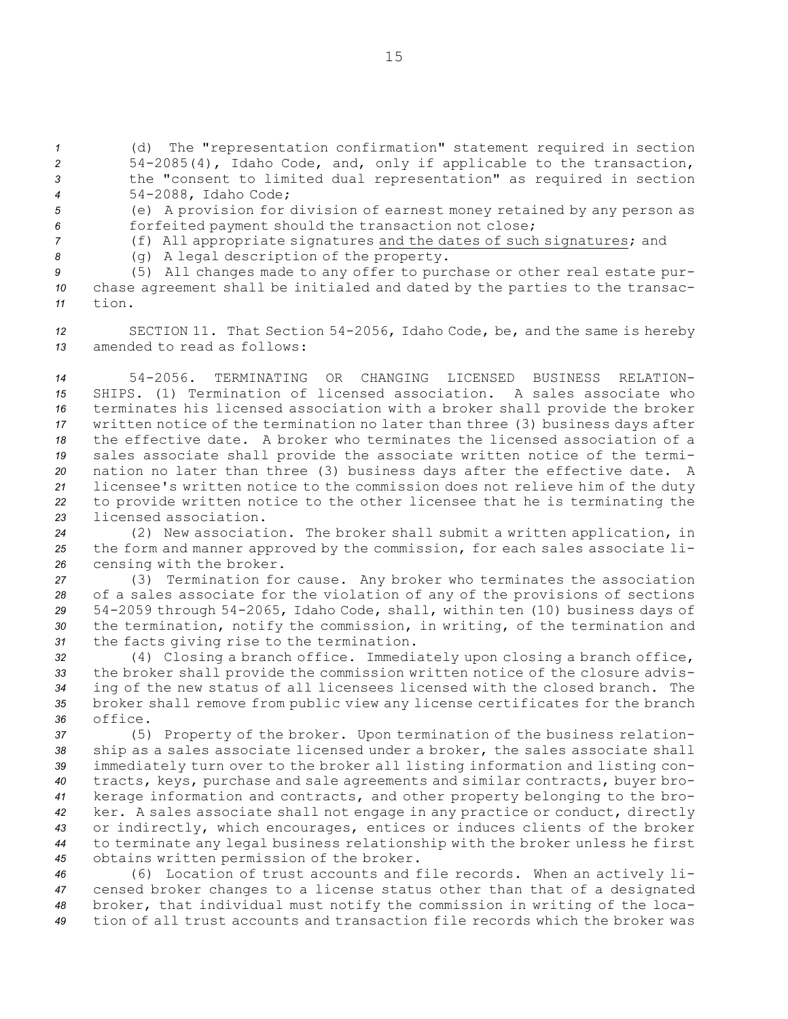(d) The "representation confirmation" statement required in section 54-2085(4), Idaho Code, and, only if applicable to the transaction, the "consent to limited dual representation" as required in section 54-2088, Idaho Code;

*<sup>5</sup>* (e) <sup>A</sup> provision for division of earnest money retained by any person as *<sup>6</sup>* forfeited payment should the transaction not close;

*<sup>7</sup>* (f) All appropriate signatures and the dates of such signatures; and

*<sup>8</sup>* (g) <sup>A</sup> legal description of the property.

*<sup>9</sup>* (5) All changes made to any offer to purchase or other real estate pur-*<sup>10</sup>* chase agreement shall be initialed and dated by the parties to the transac-*11* tion.

*<sup>12</sup>* SECTION 11. That Section 54-2056, Idaho Code, be, and the same is hereby *13* amended to read as follows:

 54-2056. TERMINATING OR CHANGING LICENSED BUSINESS RELATION- SHIPS. (1) Termination of licensed association. A sales associate who terminates his licensed association with <sup>a</sup> broker shall provide the broker written notice of the termination no later than three (3) business days after the effective date. A broker who terminates the licensed association of <sup>a</sup> sales associate shall provide the associate written notice of the termi- nation no later than three (3) business days after the effective date. <sup>A</sup> licensee's written notice to the commission does not relieve him of the duty to provide written notice to the other licensee that he is terminating the licensed association.

*<sup>24</sup>* (2) New association. The broker shall submit <sup>a</sup> written application, in *<sup>25</sup>* the form and manner approved by the commission, for each sales associate li-*<sup>26</sup>* censing with the broker.

 (3) Termination for cause. Any broker who terminates the association of <sup>a</sup> sales associate for the violation of any of the provisions of sections 54-2059 through 54-2065, Idaho Code, shall, within ten (10) business days of the termination, notify the commission, in writing, of the termination and the facts giving rise to the termination.

 (4) Closing <sup>a</sup> branch office. Immediately upon closing <sup>a</sup> branch office, the broker shall provide the commission written notice of the closure advis- ing of the new status of all licensees licensed with the closed branch. The broker shall remove from public view any license certificates for the branch *36* office.

 (5) Property of the broker. Upon termination of the business relation- ship as <sup>a</sup> sales associate licensed under <sup>a</sup> broker, the sales associate shall immediately turn over to the broker all listing information and listing con- tracts, keys, purchase and sale agreements and similar contracts, buyer bro- kerage information and contracts, and other property belonging to the bro- ker. <sup>A</sup> sales associate shall not engage in any practice or conduct, directly or indirectly, which encourages, entices or induces clients of the broker to terminate any legal business relationship with the broker unless he first obtains written permission of the broker.

 (6) Location of trust accounts and file records. When an actively li- censed broker changes to <sup>a</sup> license status other than that of <sup>a</sup> designated broker, that individual must notify the commission in writing of the loca-tion of all trust accounts and transaction file records which the broker was